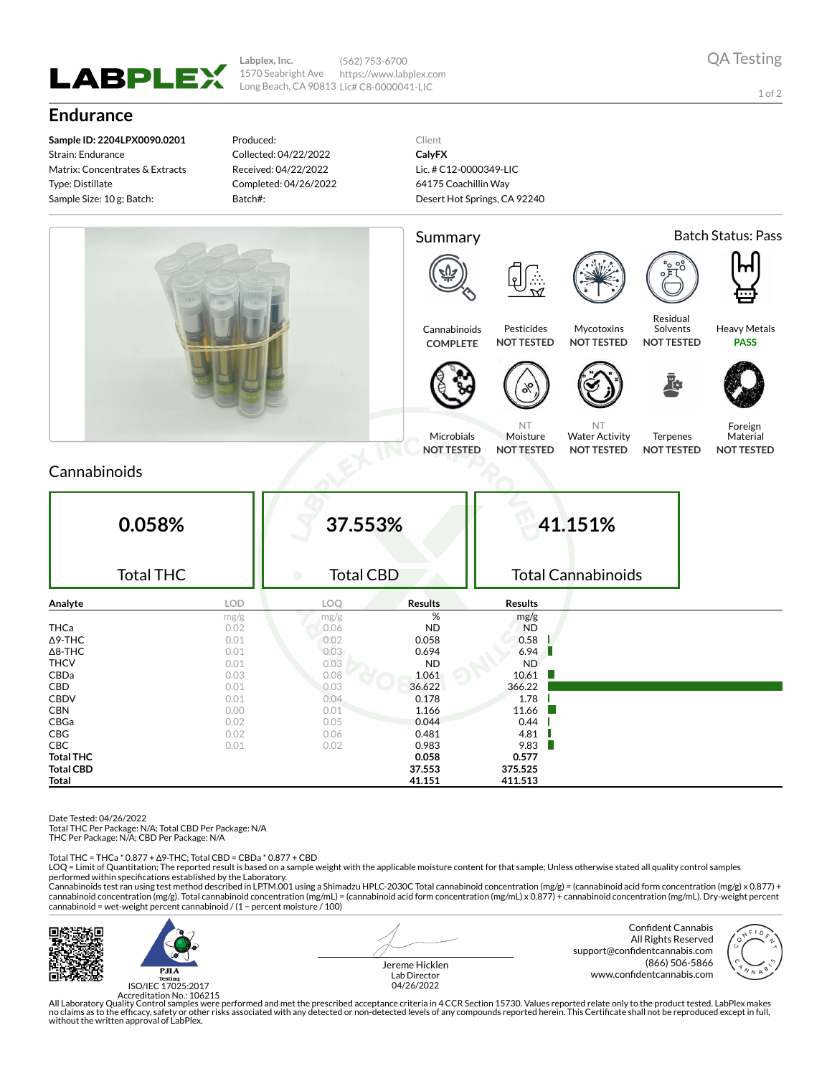

**Labplex, Inc.** 1570 Seabright Ave Long Beach, CA 90813 Lic# C8-0000041-LIC (562) 753-6700 https://www.labplex.com

1 of 2

## **Endurance**

**Sample ID: 2204LPX0090.0201** Strain: Endurance Matrix: Concentrates & Extracts Type: Distillate Sample Size: 10 g; Batch:

Produced: Collected: 04/22/2022 Received: 04/22/2022 Completed: 04/26/2022 Batch#:

Client **CalyFX** Lic. # C12-0000349-LIC 64175 Coachillin Way Desert Hot Springs, CA 92240



## Cannabinoids

| 0.058%           |      | 37.553%                       |                | 41.151%                   |  |  |
|------------------|------|-------------------------------|----------------|---------------------------|--|--|
| <b>Total THC</b> |      | <b>Total CBD</b><br>$\bullet$ |                | <b>Total Cannabinoids</b> |  |  |
| Analyte          | LOD  | LOQ                           | <b>Results</b> | Results                   |  |  |
|                  | mg/g | mg/g                          | %              | mg/g                      |  |  |
| <b>THCa</b>      | 0.02 | 0.06                          | <b>ND</b>      | <b>ND</b>                 |  |  |
| $\Delta$ 9-THC   | 0.01 | 0.02                          | 0.058          | 0.58                      |  |  |
| $\Delta$ 8-THC   | 0.01 | 0.03                          | 0.694          | 6.94                      |  |  |
| <b>THCV</b>      | 0.01 | 0.03                          | <b>ND</b>      | ND.                       |  |  |
| CBDa             | 0.03 | 0.08                          | 1.061          | 10.61                     |  |  |
| CBD              | 0.01 | 0.03                          | 36.622         | 366.22                    |  |  |
| <b>CBDV</b>      | 0.01 | 0.04                          | 0.178          | 1.78                      |  |  |
| <b>CBN</b>       | 0.00 | 0.01                          | 1.166          | 11.66                     |  |  |
| CBGa             | 0.02 | 0.05                          | 0.044          | 0.44                      |  |  |
| CBG              | 0.02 | 0.06                          | 0.481          | 4.81                      |  |  |
| <b>CBC</b>       | 0.01 | 0.02                          | 0.983          | 9.83                      |  |  |
| <b>Total THC</b> |      |                               | 0.058          | 0.577                     |  |  |
| <b>Total CBD</b> |      |                               | 37.553         | 375.525                   |  |  |
| Total            |      |                               | 41.151         | 411.513                   |  |  |

Date Tested: 04/26/2022

Total THC Per Package: N/A; Total CBD Per Package: N/A

THC Per Package: N/A; CBD Per Package: N/A

Total THC = THCa \* 0.877 + ∆9-THC; Total CBD = CBDa \* 0.877 + CBD

LOQ = Limit of Quantitation; The reported result is based on a sample weight with the applicable moisture content for that sample; Unless otherwise stated all quality control samples performed within specifications established by the Laboratory.

Cannabinoids test ran using test method described in LP.TM.001 using a Shimadzu HPLC-2030C Total cannabinoid concentration (mg/g) = (cannabinoid acid form concentration (mg/g) x 0.877) +<br>cannabinoid concentration (mg/g). T cannabinoid = wet-weight percent cannabinoid / (1 − percent moisture / 100)



ISO/IEC 17025:2017

Jereme Hicklen Lab Director 04/26/2022

Confident Cannabis All Rights Reserved support@confidentcannabis.com (866) 506-5866 www.confidentcannabis.com



Accreditation No.: 106215<br>All Laboratory Quality Control samples were performed and met the prescribed acceptance criteria in 4 CCR Section 15730. Values reported relate only to the product tested. LabPlex makes<br>Ino claims without the written approval of LabPlex.